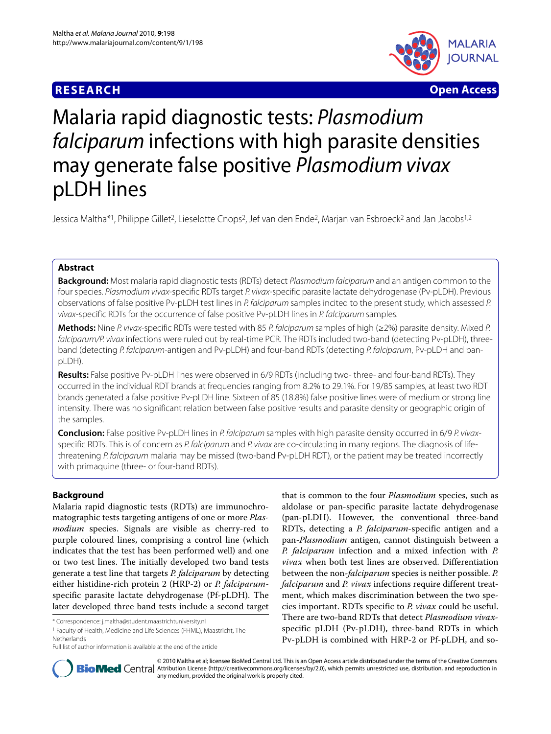## **RESEARCH Open Access**



# Malaria rapid diagnostic tests: Plasmodium falciparum infections with high parasite densities may generate false positive Plasmodium vivax pLDH lines

Jessica Maltha<sup>\*1</sup>, Philippe Gillet<sup>2</sup>, Lieselotte Cnops<sup>2</sup>, Jef van den Ende<sup>2</sup>, Marjan van Esbroeck<sup>2</sup> and Jan Jacobs<sup>1,2</sup>

## **Abstract**

**Background:** Most malaria rapid diagnostic tests (RDTs) detect Plasmodium falciparum and an antigen common to the four species. Plasmodium vivax-specific RDTs target P. vivax-specific parasite lactate dehydrogenase (Pv-pLDH). Previous observations of false positive Pv-pLDH test lines in P. falciparum samples incited to the present study, which assessed P. vivax-specific RDTs for the occurrence of false positive Pv-pLDH lines in P. falciparum samples.

**Methods:** Nine P. vivax-specific RDTs were tested with 85 P. falciparum samples of high (≥2%) parasite density. Mixed P. falciparum/P. vivax infections were ruled out by real-time PCR. The RDTs included two-band (detecting Pv-pLDH), threeband (detecting P. falciparum-antigen and Pv-pLDH) and four-band RDTs (detecting P. falciparum, Pv-pLDH and panpLDH).

**Results:** False positive Pv-pLDH lines were observed in 6/9 RDTs (including two- three- and four-band RDTs). They occurred in the individual RDT brands at frequencies ranging from 8.2% to 29.1%. For 19/85 samples, at least two RDT brands generated a false positive Pv-pLDH line. Sixteen of 85 (18.8%) false positive lines were of medium or strong line intensity. There was no significant relation between false positive results and parasite density or geographic origin of the samples.

**Conclusion:** False positive Pv-pLDH lines in P. falciparum samples with high parasite density occurred in 6/9 P. vivaxspecific RDTs. This is of concern as P. falciparum and P. vivax are co-circulating in many regions. The diagnosis of lifethreatening P. falciparum malaria may be missed (two-band Pv-pLDH RDT), or the patient may be treated incorrectly with primaquine (three- or four-band RDTs).

## **Background**

Malaria rapid diagnostic tests (RDTs) are immunochromatographic tests targeting antigens of one or more *Plasmodium* species. Signals are visible as cherry-red to purple coloured lines, comprising a control line (which indicates that the test has been performed well) and one or two test lines. The initially developed two band tests generate a test line that targets *P. falciparum* by detecting either histidine-rich protein 2 (HRP-2) or *P. falciparum*specific parasite lactate dehydrogenase (Pf-pLDH). The later developed three band tests include a second target

1 Faculty of Health, Medicine and Life Sciences (FHML), Maastricht, The Netherlands

that is common to the four *Plasmodium* species, such as aldolase or pan-specific parasite lactate dehydrogenase (pan-pLDH). However, the conventional three-band RDTs, detecting a *P. falciparum*-specific antigen and a pan-*Plasmodium* antigen, cannot distinguish between a *P. falciparum* infection and a mixed infection with *P. vivax* when both test lines are observed. Differentiation between the non-*falciparum* species is neither possible. *P. falciparum* and *P. vivax* infections require different treatment, which makes discrimination between the two species important. RDTs specific to *P. vivax* could be useful. There are two-band RDTs that detect *Plasmodium vivax*specific pLDH (Pv-pLDH), three-band RDTs in which Pv-pLDH is combined with HRP-2 or Pf-pLDH, and so-



© 2010 Maltha et al; licensee BioMed Central Ltd. This is an Open Access article distributed under the terms of the Creative Commons **Bio Med** Central Attribution License (http://creativecommons.org/licenses/by/2.0), which permits unrestricted use, distribution, and reproduction in any medium, provided the original work is properly cited.

<sup>\*</sup> Correspondence: j.maltha@student.maastrichtuniversity.nl

Full list of author information is available at the end of the article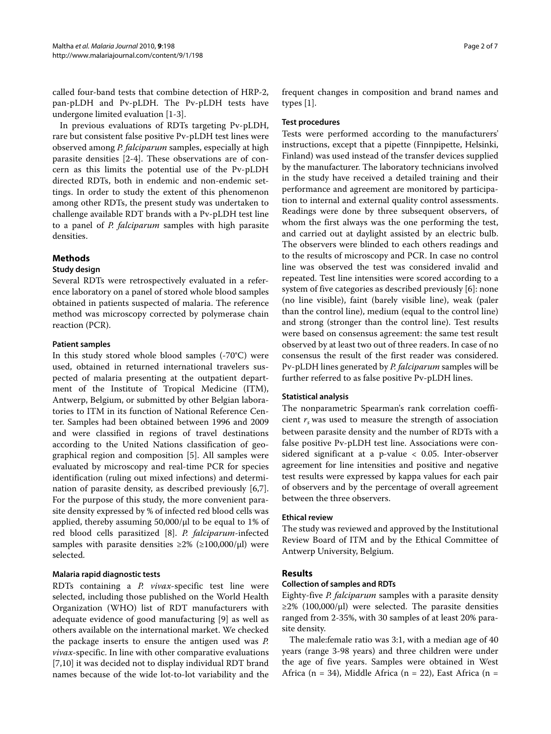called four-band tests that combine detection of HRP-2, pan-pLDH and Pv-pLDH. The Pv-pLDH tests have undergone limited evaluation [\[1](#page-5-0)-[3\]](#page-5-1).

In previous evaluations of RDTs targeting Pv-pLDH, rare but consistent false positive Pv-pLDH test lines were observed among *P. falciparum* samples, especially at high parasite densities [[2-](#page-5-2)[4](#page-5-3)]. These observations are of concern as this limits the potential use of the Pv-pLDH directed RDTs, both in endemic and non-endemic settings. In order to study the extent of this phenomenon among other RDTs, the present study was undertaken to challenge available RDT brands with a Pv-pLDH test line to a panel of *P. falciparum* samples with high parasite densities.

## **Methods**

## **Study design**

Several RDTs were retrospectively evaluated in a reference laboratory on a panel of stored whole blood samples obtained in patients suspected of malaria. The reference method was microscopy corrected by polymerase chain reaction (PCR).

## **Patient samples**

In this study stored whole blood samples  $(-70^{\circ}C)$  were used, obtained in returned international travelers suspected of malaria presenting at the outpatient department of the Institute of Tropical Medicine (ITM), Antwerp, Belgium, or submitted by other Belgian laboratories to ITM in its function of National Reference Center. Samples had been obtained between 1996 and 2009 and were classified in regions of travel destinations according to the United Nations classification of geographical region and composition [[5\]](#page-5-4). All samples were evaluated by microscopy and real-time PCR for species identification (ruling out mixed infections) and determination of parasite density, as described previously [\[6](#page-5-5)[,7](#page-5-6)]. For the purpose of this study, the more convenient parasite density expressed by % of infected red blood cells was applied, thereby assuming  $50,000/\mu$  to be equal to 1% of red blood cells parasitized [\[8\]](#page-5-7). *P. falciparum*-infected samples with parasite densities  $\geq 2\%$  ( $\geq 100,000/\mu$ l) were selected.

## **Malaria rapid diagnostic tests**

RDTs containing a *P. vivax*-specific test line were selected, including those published on the World Health Organization (WHO) list of RDT manufacturers with adequate evidence of good manufacturing [[9\]](#page-5-8) as well as others available on the international market. We checked the package inserts to ensure the antigen used was *P. vivax*-specific. In line with other comparative evaluations [[7,](#page-5-6)[10\]](#page-6-0) it was decided not to display individual RDT brand names because of the wide lot-to-lot variability and the frequent changes in composition and brand names and types [[1\]](#page-5-0).

#### **Test procedures**

Tests were performed according to the manufacturers' instructions, except that a pipette (Finnpipette, Helsinki, Finland) was used instead of the transfer devices supplied by the manufacturer. The laboratory technicians involved in the study have received a detailed training and their performance and agreement are monitored by participation to internal and external quality control assessments. Readings were done by three subsequent observers, of whom the first always was the one performing the test, and carried out at daylight assisted by an electric bulb. The observers were blinded to each others readings and to the results of microscopy and PCR. In case no control line was observed the test was considered invalid and repeated. Test line intensities were scored according to a system of five categories as described previously [[6](#page-5-5)]: none (no line visible), faint (barely visible line), weak (paler than the control line), medium (equal to the control line) and strong (stronger than the control line). Test results were based on consensus agreement: the same test result observed by at least two out of three readers. In case of no consensus the result of the first reader was considered. Pv-pLDH lines generated by *P. falciparum* samples will be further referred to as false positive Pv-pLDH lines.

#### **Statistical analysis**

The nonparametric Spearman's rank correlation coefficient  $r_s$  was used to measure the strength of association between parasite density and the number of RDTs with a false positive Pv-pLDH test line. Associations were considered significant at a p-value < 0.05. Inter-observer agreement for line intensities and positive and negative test results were expressed by kappa values for each pair of observers and by the percentage of overall agreement between the three observers.

#### **Ethical review**

The study was reviewed and approved by the Institutional Review Board of ITM and by the Ethical Committee of Antwerp University, Belgium.

## **Results**

#### **Collection of samples and RDTs**

Eighty-five *P. falciparum* samples with a parasite density  $\geq$ 2% (100,000/µl) were selected. The parasite densities ranged from 2-35%, with 30 samples of at least 20% parasite density.

The male:female ratio was 3:1, with a median age of 40 years (range 3-98 years) and three children were under the age of five years. Samples were obtained in West Africa (n = 34), Middle Africa (n = 22), East Africa (n =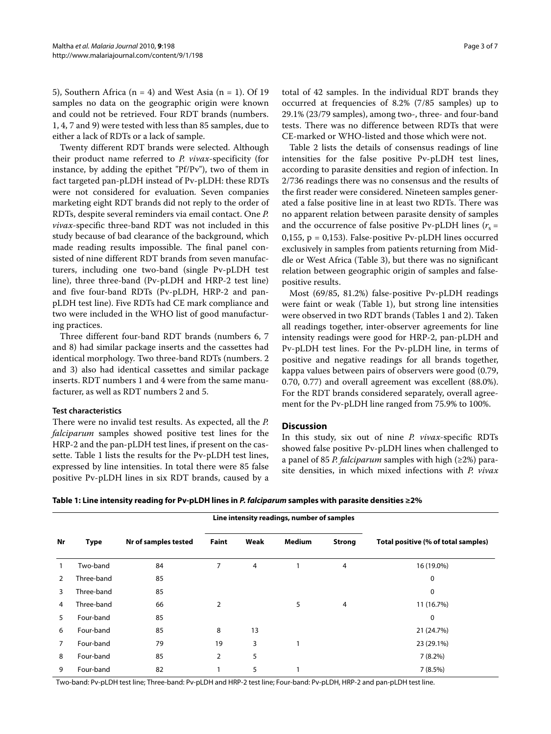5), Southern Africa ( $n = 4$ ) and West Asia ( $n = 1$ ). Of 19 samples no data on the geographic origin were known and could not be retrieved. Four RDT brands (numbers. 1, 4, 7 and 9) were tested with less than 85 samples, due to either a lack of RDTs or a lack of sample.

Twenty different RDT brands were selected. Although their product name referred to *P. vivax*-specificity (for instance, by adding the epithet "Pf/Pv"), two of them in fact targeted pan-pLDH instead of Pv-pLDH: these RDTs were not considered for evaluation. Seven companies marketing eight RDT brands did not reply to the order of RDTs, despite several reminders via email contact. One *P. vivax*-specific three-band RDT was not included in this study because of bad clearance of the background, which made reading results impossible. The final panel consisted of nine different RDT brands from seven manufacturers, including one two-band (single Pv-pLDH test line), three three-band (Pv-pLDH and HRP-2 test line) and five four-band RDTs (Pv-pLDH, HRP-2 and panpLDH test line). Five RDTs had CE mark compliance and two were included in the WHO list of good manufacturing practices.

Three different four-band RDT brands (numbers 6, 7 and 8) had similar package inserts and the cassettes had identical morphology. Two three-band RDTs (numbers. 2 and 3) also had identical cassettes and similar package inserts. RDT numbers 1 and 4 were from the same manufacturer, as well as RDT numbers 2 and 5.

#### **Test characteristics**

There were no invalid test results. As expected, all the *P. falciparum* samples showed positive test lines for the HRP-2 and the pan-pLDH test lines, if present on the cassette. Table 1 lists the results for the Pv-pLDH test lines, expressed by line intensities. In total there were 85 false positive Pv-pLDH lines in six RDT brands, caused by a total of 42 samples. In the individual RDT brands they occurred at frequencies of 8.2% (7/85 samples) up to 29.1% (23/79 samples), among two-, three- and four-band tests. There was no difference between RDTs that were CE-marked or WHO-listed and those which were not.

Table 2 lists the details of consensus readings of line intensities for the false positive Pv-pLDH test lines, according to parasite densities and region of infection. In 2/736 readings there was no consensus and the results of the first reader were considered. Nineteen samples generated a false positive line in at least two RDTs. There was no apparent relation between parasite density of samples and the occurrence of false positive Pv-pLDH lines  $(r_s =$ 0,155, p = 0,153). False-positive Pv-pLDH lines occurred exclusively in samples from patients returning from Middle or West Africa (Table 3), but there was no significant relation between geographic origin of samples and falsepositive results.

Most (69/85, 81.2%) false-positive Pv-pLDH readings were faint or weak (Table 1), but strong line intensities were observed in two RDT brands (Tables 1 and 2). Taken all readings together, inter-observer agreements for line intensity readings were good for HRP-2, pan-pLDH and Pv-pLDH test lines. For the Pv-pLDH line, in terms of positive and negative readings for all brands together, kappa values between pairs of observers were good (0.79, 0.70, 0.77) and overall agreement was excellent (88.0%). For the RDT brands considered separately, overall agreement for the Pv-pLDH line ranged from 75.9% to 100%.

## **Discussion**

In this study, six out of nine *P. vivax-*specific RDTs showed false positive Pv-pLDH lines when challenged to a panel of 85 *P. falciparum* samples with high (≥2%) parasite densities, in which mixed infections with *P. vivax*

|    |             |                      | Line intensity readings, number of samples |      |               |                |                                     |  |
|----|-------------|----------------------|--------------------------------------------|------|---------------|----------------|-------------------------------------|--|
| Nr | <b>Type</b> | Nr of samples tested | Faint                                      | Weak | <b>Medium</b> | <b>Strong</b>  | Total positive (% of total samples) |  |
|    | Two-band    | 84                   | 7                                          | 4    |               | $\overline{4}$ | 16 (19.0%)                          |  |
| 2  | Three-band  | 85                   |                                            |      |               |                | 0                                   |  |
| 3  | Three-band  | 85                   |                                            |      |               |                | 0                                   |  |
| 4  | Three-band  | 66                   | 2                                          |      | 5             | 4              | 11 (16.7%)                          |  |
| 5  | Four-band   | 85                   |                                            |      |               |                | 0                                   |  |
| 6  | Four-band   | 85                   | 8                                          | 13   |               |                | 21 (24.7%)                          |  |
| 7  | Four-band   | 79                   | 19                                         | 3    | 1             |                | 23 (29.1%)                          |  |
| 8  | Four-band   | 85                   | 2                                          | 5    |               |                | $7(8.2\%)$                          |  |
| 9  | Four-band   | 82                   |                                            | 5    | 1             |                | 7(8.5%)                             |  |

Two-band: Pv-pLDH test line; Three-band: Pv-pLDH and HRP-2 test line; Four-band: Pv-pLDH, HRP-2 and pan-pLDH test line.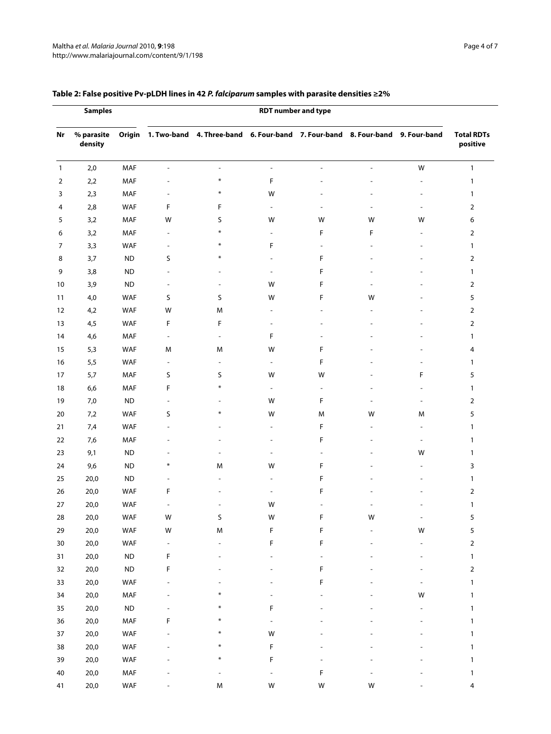| <b>Samples</b> |                       | <b>RDT</b> number and type |                              |                                                                               |                              |                          |                          |                          |                               |
|----------------|-----------------------|----------------------------|------------------------------|-------------------------------------------------------------------------------|------------------------------|--------------------------|--------------------------|--------------------------|-------------------------------|
| Nr             | % parasite<br>density | Origin                     |                              | 1. Two-band 4. Three-band 6. Four-band 7. Four-band 8. Four-band 9. Four-band |                              |                          |                          |                          | <b>Total RDTs</b><br>positive |
| $\mathbf{1}$   | $2,0$                 | MAF                        | $\overline{\phantom{a}}$     | $\overline{\phantom{a}}$                                                      | $\overline{\phantom{a}}$     | ÷,                       | $\overline{\phantom{m}}$ | W                        | $\mathbf{1}$                  |
| $\overline{2}$ | 2,2                   | MAF                        | $\overline{a}$               | $\ast$                                                                        | F                            |                          |                          | $\overline{a}$           | $\mathbf{1}$                  |
| 3              | 2,3                   | MAF                        | $\overline{\phantom{a}}$     | $\ast$                                                                        | W                            |                          |                          | ÷,                       | $\mathbf{1}$                  |
| 4              | 2,8                   | WAF                        | F                            | F                                                                             | $\qquad \qquad \blacksquare$ | $\overline{\phantom{0}}$ | $\overline{a}$           | $\overline{\phantom{a}}$ | $\overline{2}$                |
| 5              | 3,2                   | MAF                        | W                            | S                                                                             | W                            | W                        | W                        | W                        | 6                             |
| 6              | 3,2                   | MAF                        | $\overline{\phantom{a}}$     | $\ast$                                                                        | $\frac{1}{2}$                | F                        | F                        | $\overline{a}$           | $\overline{2}$                |
| 7              | 3,3                   | WAF                        | $\overline{\phantom{a}}$     | $\ast$                                                                        | F                            | $\overline{\phantom{a}}$ | $\overline{\phantom{a}}$ | $\overline{a}$           | $\mathbf{1}$                  |
| 8              | 3,7                   | ND                         | S                            | $\ast$                                                                        | $\overline{a}$               | F                        | $\overline{a}$           |                          | $\overline{2}$                |
| 9              | 3,8                   | ND                         | $\overline{\phantom{a}}$     | $\overline{a}$                                                                | $\overline{\phantom{a}}$     | F                        |                          |                          | $\mathbf{1}$                  |
| 10             | 3,9                   | ND                         | $\overline{\phantom{a}}$     | $\overline{\phantom{a}}$                                                      | W                            | F                        | $\overline{\phantom{a}}$ |                          | $\overline{2}$                |
| 11             | 4,0                   | WAF                        | S                            | S                                                                             | W                            | F                        | W                        |                          | 5                             |
| 12             | 4,2                   | WAF                        | W                            | M                                                                             | L,                           | $\overline{a}$           | L,                       |                          | $\overline{2}$                |
| 13             | 4,5                   | WAF                        | F                            | F                                                                             | $\overline{\phantom{a}}$     | $\overline{a}$           | ٠                        |                          | $\overline{2}$                |
| 14             | 4,6                   | MAF                        | $\overline{\phantom{a}}$     | $\overline{\phantom{a}}$                                                      | F                            | $\overline{a}$           |                          |                          | $\mathbf{1}$                  |
| 15             | 5,3                   | WAF                        | M                            | M                                                                             | W                            | F                        |                          |                          | 4                             |
| 16             | 5,5                   | WAF                        | $\overline{\phantom{a}}$     | $\overline{\phantom{a}}$                                                      | $\qquad \qquad \blacksquare$ | F                        | Ĭ.                       | $\overline{a}$           | $\mathbf{1}$                  |
| 17             | 5,7                   | MAF                        | S                            | S                                                                             | W                            | W                        |                          | F                        | 5                             |
|                |                       | MAF                        | F                            | $\ast$                                                                        | $\overline{\phantom{a}}$     | $\overline{\phantom{a}}$ | Ĭ.                       | $\overline{a}$           |                               |
| 18             | 6,6                   |                            |                              |                                                                               |                              |                          |                          |                          | $\mathbf{1}$                  |
| 19             | 7,0                   | ND                         | $\overline{\phantom{a}}$     | $\overline{\phantom{a}}$<br>$\ast$                                            | W                            | F                        | $\overline{\phantom{a}}$ | $\overline{\phantom{a}}$ | $\overline{2}$                |
| 20             | 7,2                   | WAF                        | S                            |                                                                               | W                            | M                        | W                        | M                        | 5                             |
| 21             | 7,4                   | WAF                        | $\overline{a}$               |                                                                               | $\overline{a}$               | F                        | $\overline{\phantom{a}}$ | $\overline{a}$           | $\mathbf{1}$                  |
| 22             | 7,6                   | <b>MAF</b>                 | $\qquad \qquad \blacksquare$ |                                                                               | $\overline{a}$               | F                        | $\overline{a}$           | $\overline{\phantom{a}}$ | $\mathbf{1}$                  |
| 23             | 9,1                   | ND                         | $\qquad \qquad \blacksquare$ | $\overline{a}$                                                                | $\overline{a}$               | $\overline{\phantom{0}}$ |                          | W                        | $\mathbf{1}$                  |
| 24             | 9,6                   | ND                         | $\ast$                       | M                                                                             | W                            | F                        |                          | $\overline{a}$           | 3                             |
| 25             | 20,0                  | <b>ND</b>                  | $\overline{\phantom{a}}$     |                                                                               | $\overline{\phantom{a}}$     | F                        |                          |                          | $\mathbf{1}$                  |
| 26             | 20,0                  | WAF                        | F                            |                                                                               | $\overline{\phantom{a}}$     | F                        |                          |                          | $\overline{2}$                |
| 27             | 20,0                  | WAF                        | $\overline{a}$               |                                                                               | W                            |                          |                          |                          | $\mathbf{1}$                  |
| 28             | 20,0                  | <b>WAF</b>                 | W                            | S                                                                             | W                            | F                        | W                        |                          | 5                             |
| 29             | 20,0                  | WAF                        | W                            | M                                                                             | F                            | F                        |                          | W                        | $\sqrt{5}$                    |
| 30             | 20,0                  | WAF                        | $\overline{\phantom{a}}$     |                                                                               | F                            | F                        |                          |                          | $\overline{2}$                |
| 31             | 20,0                  | <b>ND</b>                  | F                            |                                                                               |                              | $\overline{a}$           |                          |                          | $\mathbf{1}$                  |
| 32             | 20,0                  | ND                         | F                            |                                                                               |                              | F                        |                          |                          | $\overline{2}$                |
| 33             | 20,0                  | WAF                        |                              |                                                                               |                              | F                        |                          |                          | 1                             |
| 34             | 20,0                  | MAF                        |                              |                                                                               |                              |                          |                          | W                        | $\mathbf{1}$                  |
| 35             | 20,0                  | ND                         |                              |                                                                               | F                            |                          |                          |                          | $\mathbf{1}$                  |
| 36             | 20,0                  | MAF                        | F                            |                                                                               |                              |                          |                          |                          | $\mathbf{1}$                  |
| 37             | 20,0                  | WAF                        |                              |                                                                               | W                            |                          |                          |                          | $\mathbf{1}$                  |
| 38             | 20,0                  | WAF                        |                              |                                                                               | F                            |                          |                          |                          | $\mathbf{1}$                  |
| 39             | 20,0                  | WAF                        |                              |                                                                               | F                            |                          |                          |                          | 1                             |
| 40             | 20,0                  | MAF                        |                              |                                                                               |                              | F                        |                          |                          | 1                             |
| 41             | 20,0                  | WAF                        |                              | М                                                                             | W                            | W                        | W                        |                          | 4                             |

## **Table 2: False positive Pv-pLDH lines in 42** *P. falciparum* **samples with parasite densities ≥2%**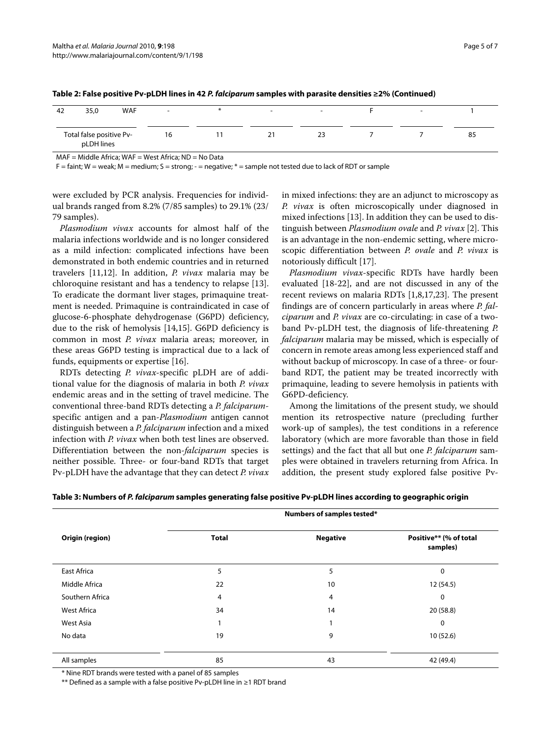| -42 | 35,0                                   | <b>WAF</b> | -  | $\sim$             | $\sim$ |  |    |
|-----|----------------------------------------|------------|----|--------------------|--------|--|----|
|     | Total false positive Pv-<br>pLDH lines |            | ıo | $\sim$<br><u>_</u> | 23     |  | 85 |

**Table 2: False positive Pv-pLDH lines in 42** *P. falciparum* **samples with parasite densities ≥2% (Continued)**

MAF = Middle Africa; WAF = West Africa; ND = No Data

 $F =$  faint; W = weak; M = medium; S = strong; - = negative;  $*$  = sample not tested due to lack of RDT or sample

were excluded by PCR analysis. Frequencies for individual brands ranged from 8.2% (7/85 samples) to 29.1% (23/ 79 samples).

*Plasmodium vivax* accounts for almost half of the malaria infections worldwide and is no longer considered as a mild infection: complicated infections have been demonstrated in both endemic countries and in returned travelers [\[11](#page-6-1)[,12](#page-6-2)]. In addition, *P. vivax* malaria may be chloroquine resistant and has a tendency to relapse [\[13](#page-6-3)]. To eradicate the dormant liver stages, primaquine treatment is needed. Primaquine is contraindicated in case of glucose-6-phosphate dehydrogenase (G6PD) deficiency, due to the risk of hemolysis [\[14](#page-6-4)[,15](#page-6-5)]. G6PD deficiency is common in most *P. vivax* malaria areas; moreover, in these areas G6PD testing is impractical due to a lack of funds, equipments or expertise [[16](#page-6-6)].

RDTs detecting *P. vivax*-specific pLDH are of additional value for the diagnosis of malaria in both *P. vivax* endemic areas and in the setting of travel medicine. The conventional three-band RDTs detecting a *P. falciparum*specific antigen and a pan-*Plasmodium* antigen cannot distinguish between a *P. falciparum* infection and a mixed infection with *P. vivax* when both test lines are observed. Differentiation between the non-*falciparum* species is neither possible. Three- or four-band RDTs that target Pv-pLDH have the advantage that they can detect *P. vivax* in mixed infections: they are an adjunct to microscopy as *P. vivax* is often microscopically under diagnosed in mixed infections [\[13\]](#page-6-3). In addition they can be used to distinguish between *Plasmodium ovale* and *P. vivax* [[2\]](#page-5-2). This is an advantage in the non-endemic setting, where microscopic differentiation between *P. ovale* and *P. vivax* is notoriously difficult [\[17](#page-6-7)].

*Plasmodium vivax*-specific RDTs have hardly been evaluated [\[18](#page-6-8)-[22\]](#page-6-9), and are not discussed in any of the recent reviews on malaria RDTs [\[1](#page-5-0)[,8](#page-5-7)[,17](#page-6-7),[23](#page-6-10)]. The present findings are of concern particularly in areas where *P. falciparum* and *P. vivax* are co-circulating: in case of a twoband Pv-pLDH test, the diagnosis of life-threatening *P. falciparum* malaria may be missed, which is especially of concern in remote areas among less experienced staff and without backup of microscopy. In case of a three- or fourband RDT, the patient may be treated incorrectly with primaquine, leading to severe hemolysis in patients with G6PD-deficiency.

Among the limitations of the present study, we should mention its retrospective nature (precluding further work-up of samples), the test conditions in a reference laboratory (which are more favorable than those in field settings) and the fact that all but one *P. falciparum* samples were obtained in travelers returning from Africa. In addition, the present study explored false positive Pv-

| Table 3: Numbers of <i>P. falciparum</i> samples generating false positive Pv-pLDH lines according to geographic origin |  |  |  |
|-------------------------------------------------------------------------------------------------------------------------|--|--|--|

|                    | Numbers of samples tested* |                 |                                    |  |  |  |
|--------------------|----------------------------|-----------------|------------------------------------|--|--|--|
| Origin (region)    | <b>Total</b>               | <b>Negative</b> | Positive** (% of total<br>samples) |  |  |  |
| East Africa        | 5                          | 5               | 0                                  |  |  |  |
| Middle Africa      | 22                         | 10              | 12 (54.5)                          |  |  |  |
| Southern Africa    | 4                          | $\overline{4}$  | 0                                  |  |  |  |
| <b>West Africa</b> | 34                         | 14              | 20 (58.8)                          |  |  |  |
| West Asia          |                            | 1               | $\Omega$                           |  |  |  |
| No data            | 19                         | 9               | 10(52.6)                           |  |  |  |
| All samples        | 85                         | 43              | 42 (49.4)                          |  |  |  |

Nine RDT brands were tested with a panel of 85 samples

\*\* Defined as a sample with a false positive Pv-pLDH line in ≥1 RDT brand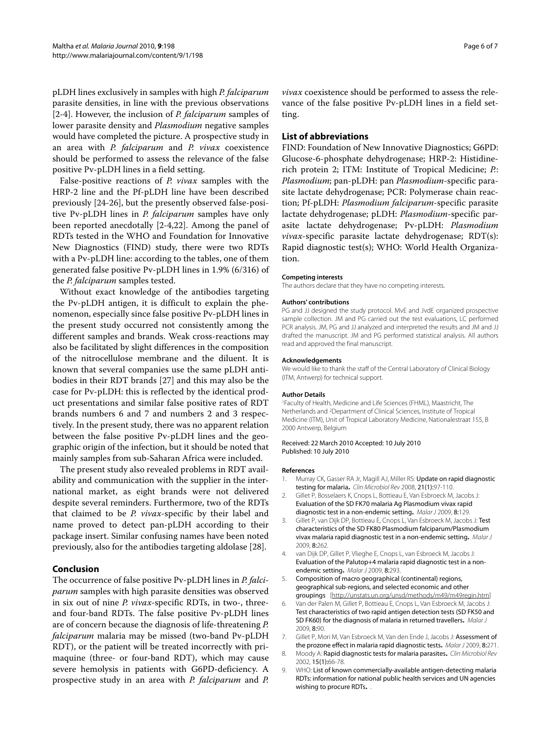pLDH lines exclusively in samples with high *P. falciparum* parasite densities, in line with the previous observations [[2](#page-5-2)[-4](#page-5-3)]. However, the inclusion of *P. falciparum* samples of lower parasite density and *Plasmodium* negative samples would have completed the picture. A prospective study in an area with *P. falciparum* and *P. vivax* coexistence should be performed to assess the relevance of the false positive Pv-pLDH lines in a field setting.

False-positive reactions of *P. vivax* samples with the HRP-2 line and the Pf-pLDH line have been described previously [[24](#page-6-11)[-26\]](#page-6-12), but the presently observed false-positive Pv-pLDH lines in *P. falciparum* samples have only been reported anecdotally [\[2](#page-5-2)-[4,](#page-5-3)[22\]](#page-6-9). Among the panel of RDTs tested in the WHO and Foundation for Innovative New Diagnostics (FIND) study, there were two RDTs with a Pv-pLDH line: according to the tables, one of them generated false positive Pv-pLDH lines in 1.9% (6/316) of the *P. falciparum* samples tested.

Without exact knowledge of the antibodies targeting the Pv-pLDH antigen, it is difficult to explain the phenomenon, especially since false positive Pv-pLDH lines in the present study occurred not consistently among the different samples and brands. Weak cross-reactions may also be facilitated by slight differences in the composition of the nitrocellulose membrane and the diluent. It is known that several companies use the same pLDH antibodies in their RDT brands [\[27](#page-6-13)] and this may also be the case for Pv-pLDH: this is reflected by the identical product presentations and similar false positive rates of RDT brands numbers 6 and 7 and numbers 2 and 3 respectively. In the present study, there was no apparent relation between the false positive Pv-pLDH lines and the geographic origin of the infection, but it should be noted that mainly samples from sub-Saharan Africa were included.

The present study also revealed problems in RDT availability and communication with the supplier in the international market, as eight brands were not delivered despite several reminders. Furthermore, two of the RDTs that claimed to be *P. vivax*-specific by their label and name proved to detect pan-pLDH according to their package insert. Similar confusing names have been noted previously, also for the antibodies targeting aldolase [[28\]](#page-6-14).

#### **Conclusion**

The occurrence of false positive Pv-pLDH lines in *P. falciparum* samples with high parasite densities was observed in six out of nine *P. vivax-*specific RDTs, in two-, threeand four-band RDTs. The false positive Pv-pLDH lines are of concern because the diagnosis of life-threatening *P. falciparum* malaria may be missed (two-band Pv-pLDH RDT), or the patient will be treated incorrectly with primaquine (three- or four-band RDT), which may cause severe hemolysis in patients with G6PD-deficiency. A prospective study in an area with *P. falciparum* and *P.*

*vivax* coexistence should be performed to assess the relevance of the false positive Pv-pLDH lines in a field setting.

#### **List of abbreviations**

FIND: Foundation of New Innovative Diagnostics; G6PD: Glucose-6-phosphate dehydrogenase; HRP-2: Histidinerich protein 2; ITM: Institute of Tropical Medicine; *P.*: *Plasmodium*; pan-pLDH: pan *Plasmodium*-specific parasite lactate dehydrogenase; PCR: Polymerase chain reaction; Pf-pLDH: *Plasmodium falciparum-*specific parasite lactate dehydrogenase; pLDH: *Plasmodium*-specific parasite lactate dehydrogenase; Pv-pLDH: *Plasmodium vivax*-specific parasite lactate dehydrogenase; RDT(s): Rapid diagnostic test(s); WHO: World Health Organization.

#### **Competing interests**

The authors declare that they have no competing interests.

#### **Authors' contributions**

PG and JJ designed the study protocol. MvE and JvdE organized prospective sample collection. JM and PG carried out the test evaluations, LC performed PCR analysis. JM, PG and JJ analyzed and interpreted the results and JM and JJ drafted the manuscript. JM and PG performed statistical analysis. All authors read and approved the final manuscript.

#### **Acknowledgements**

We would like to thank the staff of the Central Laboratory of Clinical Biology (ITM, Antwerp) for technical support.

#### **Author Details**

1Faculty of Health, Medicine and Life Sciences (FHML), Maastricht, The Netherlands and 2Department of Clinical Sciences, Institute of Tropical Medicine (ITM), Unit of Tropical Laboratory Medicine, Nationalestraat 155, B 2000 Antwerp, Belgium

#### Received: 22 March 2010 Accepted: 10 July 2010 Published: 10 July 2010

#### **References**

- <span id="page-5-0"></span>1. Murray CK, Gasser RA Jr, Magill AJ, Miller RS: Update on rapid diagnostic testing for malaria**[.](http://www.ncbi.nlm.nih.gov/entrez/query.fcgi?cmd=Retrieve&db=PubMed&dopt=Abstract&list_uids=18202438)** Clin Microbiol Rev 2008, 21(1):97-110.
- <span id="page-5-2"></span>2. Gillet P, Bosselaers K, Cnops L, Bottieau E, Van Esbroeck M, Jacobs J: Evaluation of the SD FK70 malaria Ag Plasmodium vivax rapid diagnostic test in a non-endemic setting**.** Malar J 2009, 8:129.
- <span id="page-5-1"></span>3. Gillet P, van Dijk DP, Bottieau E, Cnops L, Van Esbroeck M, Jacobs J: Test characteristics of the SD FK80 Plasmodium falciparum/Plasmodium vivax malaria rapid diagnostic test in a non-endemic setting**[.](http://www.ncbi.nlm.nih.gov/entrez/query.fcgi?cmd=Retrieve&db=PubMed&dopt=Abstract&list_uids=19930609)** Malar J 2009 8:262
- <span id="page-5-3"></span>4. van Dijk DP, Gillet P, Vlieghe E, Cnops L, van Esbroeck M, Jacobs J: Evaluation of the Palutop+4 malaria rapid diagnostic test in a nonendemic setting**.** Malar J 2009, 8:293.
- <span id="page-5-4"></span>5. Composition of macro geographical (continental) regions, geographical sub-regions, and selected economic and other groupings [[http://unstats.un.org/unsd/methods/m49/m49regin.htm\]](http://unstats.un.org/unsd/methods/m49/m49regin.htm)
- <span id="page-5-5"></span>6. Van der Palen M, Gillet P, Bottieau E, Cnops L, Van Esbroeck M, Jacobs J: Test characteristics of two rapid antigen detection tests (SD FK50 and SD FK60) for the diagnosis of malaria in returned travellers**.** Malar J 2009, 8:90.
- <span id="page-5-6"></span>7. Gillet P, Mori M, Van Esbroeck M, Van den Ende J, Jacobs J: Assessment of the prozone effect in malaria rapid diagnostic tests**[.](http://www.ncbi.nlm.nih.gov/entrez/query.fcgi?cmd=Retrieve&db=PubMed&dopt=Abstract&list_uids=19948018)** Malar J 2009, 8:271.
- <span id="page-5-7"></span>8. Moody A: Rapid diagnostic tests for malaria parasites**.** Clin Microbiol Rev 2002, 15(1):66-78.
- <span id="page-5-8"></span>9. WHO: List of known commercially-available antigen-detecting malaria RDTs: information for national public health services and UN agencies wishing to procure RDTs**.** .